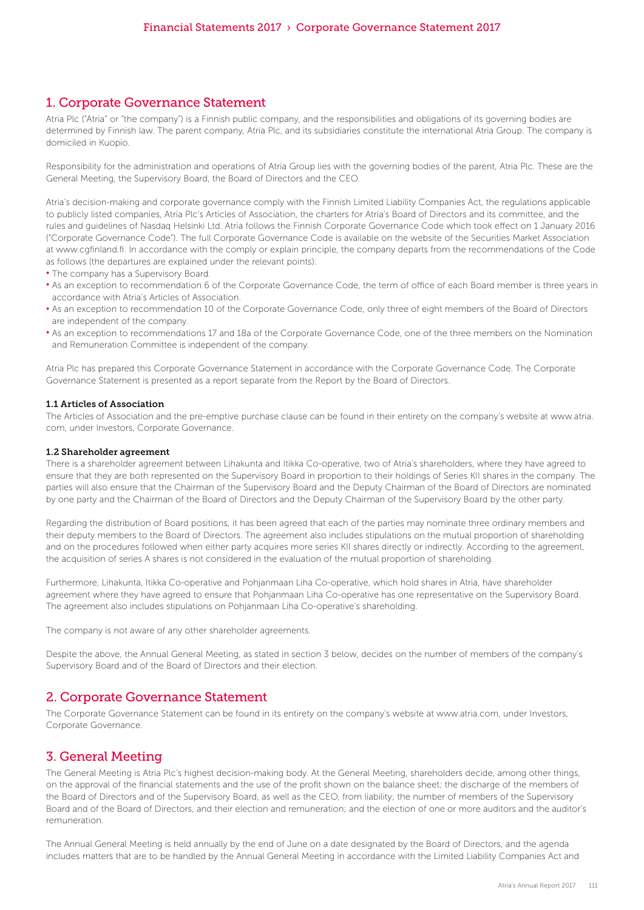### 1. Corporate Governance Statement

Atria Plc ("Atria" or "the company") is a Finnish public company, and the responsibilities and obligations of its governing bodies are determined by Finnish law. The parent company, Atria Plc, and its subsidiaries constitute the international Atria Group. The company is domiciled in Kuopio.

Responsibility for the administration and operations of Atria Group lies with the governing bodies of the parent, Atria Plc. These are the General Meeting, the Supervisory Board, the Board of Directors and the CEO.

Atria's decision-making and corporate governance comply with the Finnish Limited Liability Companies Act, the regulations applicable to publicly listed companies, Atria Plc's Articles of Association, the charters for Atria's Board of Directors and its committee, and the rules and guidelines of Nasdaq Helsinki Ltd. Atria follows the Finnish Corporate Governance Code which took effect on 1 January 2016 ("Corporate Governance Code"). The full Corporate Governance Code is available on the website of the Securities Market Association at www.cgfinland.fi. In accordance with the comply or explain principle, the company departs from the recommendations of the Code as follows (the departures are explained under the relevant points):

- The company has a Supervisory Board.
- As an exception to recommendation 6 of the Corporate Governance Code, the term of office of each Board member is three years in accordance with Atria's Articles of Association.
- As an exception to recommendation 10 of the Corporate Governance Code, only three of eight members of the Board of Directors are independent of the company.
- As an exception to recommendations 17 and 18a of the Corporate Governance Code, one of the three members on the Nomination and Remuneration Committee is independent of the company.

Atria Plc has prepared this Corporate Governance Statement in accordance with the Corporate Governance Code. The Corporate Governance Statement is presented as a report separate from the Report by the Board of Directors.

#### 1.1 Articles of Association

The Articles of Association and the pre-emptive purchase clause can be found in their entirety on the company's website at www.atria. com, under Investors, Corporate Governance.

#### 1.2 Shareholder agreement

There is a shareholder agreement between Lihakunta and Itikka Co-operative, two of Atria's shareholders, where they have agreed to ensure that they are both represented on the Supervisory Board in proportion to their holdings of Series KII shares in the company. The parties will also ensure that the Chairman of the Supervisory Board and the Deputy Chairman of the Board of Directors are nominated by one party and the Chairman of the Board of Directors and the Deputy Chairman of the Supervisory Board by the other party.

Regarding the distribution of Board positions, it has been agreed that each of the parties may nominate three ordinary members and their deputy members to the Board of Directors. The agreement also includes stipulations on the mutual proportion of shareholding and on the procedures followed when either party acquires more series KII shares directly or indirectly. According to the agreement, the acquisition of series A shares is not considered in the evaluation of the mutual proportion of shareholding.

Furthermore, Lihakunta, Itikka Co-operative and Pohjanmaan Liha Co-operative, which hold shares in Atria, have shareholder agreement where they have agreed to ensure that Pohjanmaan Liha Co-operative has one representative on the Supervisory Board. The agreement also includes stipulations on Pohjanmaan Liha Co-operative's shareholding.

The company is not aware of any other shareholder agreements.

Despite the above, the Annual General Meeting, as stated in section 3 below, decides on the number of members of the company's Supervisory Board and of the Board of Directors and their election.

### 2. Corporate Governance Statement

The Corporate Governance Statement can be found in its entirety on the company's website at www.atria.com, under Investors, Corporate Governance.

### 3. General Meeting

The General Meeting is Atria Plc's highest decision-making body. At the General Meeting, shareholders decide, among other things, on the approval of the financial statements and the use of the profit shown on the balance sheet; the discharge of the members of the Board of Directors and of the Supervisory Board, as well as the CEO, from liability; the number of members of the Supervisory Board and of the Board of Directors, and their election and remuneration; and the election of one or more auditors and the auditor's remuneration.

The Annual General Meeting is held annually by the end of June on a date designated by the Board of Directors, and the agenda includes matters that are to be handled by the Annual General Meeting in accordance with the Limited Liability Companies Act and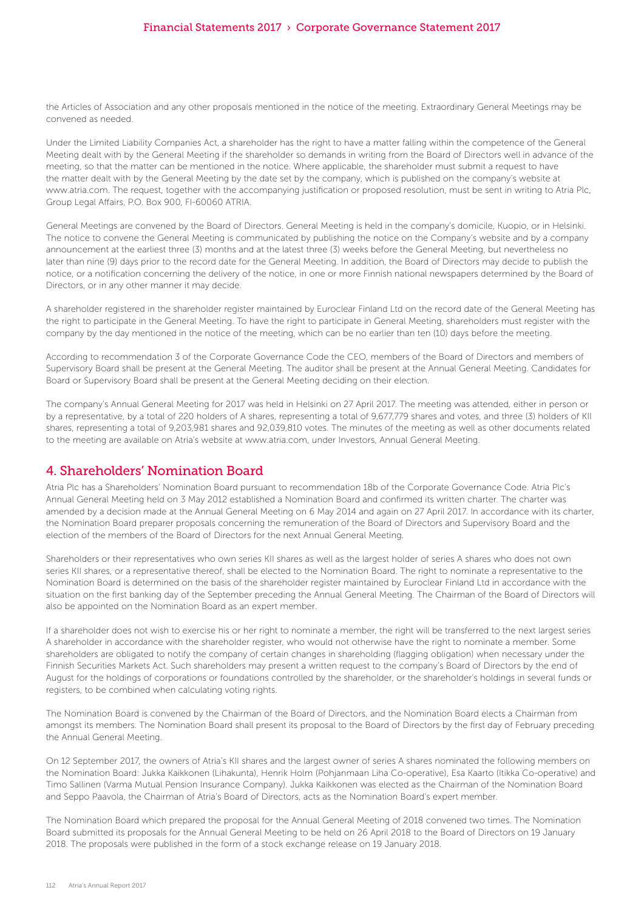### Financial Statements 2017 › Corporate Governance Statement 2017

the Articles of Association and any other proposals mentioned in the notice of the meeting. Extraordinary General Meetings may be convened as needed.

Under the Limited Liability Companies Act, a shareholder has the right to have a matter falling within the competence of the General Meeting dealt with by the General Meeting if the shareholder so demands in writing from the Board of Directors well in advance of the meeting, so that the matter can be mentioned in the notice. Where applicable, the shareholder must submit a request to have the matter dealt with by the General Meeting by the date set by the company, which is published on the company's website at www.atria.com. The request, together with the accompanying justification or proposed resolution, must be sent in writing to Atria Plc, Group Legal Affairs, P.O. Box 900, FI-60060 ATRIA.

General Meetings are convened by the Board of Directors. General Meeting is held in the company's domicile, Kuopio, or in Helsinki. The notice to convene the General Meeting is communicated by publishing the notice on the Company's website and by a company announcement at the earliest three (3) months and at the latest three (3) weeks before the General Meeting, but nevertheless no later than nine (9) days prior to the record date for the General Meeting. In addition, the Board of Directors may decide to publish the notice, or a notification concerning the delivery of the notice, in one or more Finnish national newspapers determined by the Board of Directors, or in any other manner it may decide.

A shareholder registered in the shareholder register maintained by Euroclear Finland Ltd on the record date of the General Meeting has the right to participate in the General Meeting. To have the right to participate in General Meeting, shareholders must register with the company by the day mentioned in the notice of the meeting, which can be no earlier than ten (10) days before the meeting.

According to recommendation 3 of the Corporate Governance Code the CEO, members of the Board of Directors and members of Supervisory Board shall be present at the General Meeting. The auditor shall be present at the Annual General Meeting. Candidates for Board or Supervisory Board shall be present at the General Meeting deciding on their election.

The company's Annual General Meeting for 2017 was held in Helsinki on 27 April 2017. The meeting was attended, either in person or by a representative, by a total of 220 holders of A shares, representing a total of 9,677,779 shares and votes, and three (3) holders of KII shares, representing a total of 9,203,981 shares and 92,039,810 votes. The minutes of the meeting as well as other documents related to the meeting are available on Atria's website at www.atria.com, under Investors, Annual General Meeting.

# 4. Shareholders' Nomination Board

Atria Plc has a Shareholders' Nomination Board pursuant to recommendation 18b of the Corporate Governance Code. Atria Plc's Annual General Meeting held on 3 May 2012 established a Nomination Board and confirmed its written charter. The charter was amended by a decision made at the Annual General Meeting on 6 May 2014 and again on 27 April 2017. In accordance with its charter, the Nomination Board preparer proposals concerning the remuneration of the Board of Directors and Supervisory Board and the election of the members of the Board of Directors for the next Annual General Meeting.

Shareholders or their representatives who own series KII shares as well as the largest holder of series A shares who does not own series KII shares, or a representative thereof, shall be elected to the Nomination Board. The right to nominate a representative to the Nomination Board is determined on the basis of the shareholder register maintained by Euroclear Finland Ltd in accordance with the situation on the first banking day of the September preceding the Annual General Meeting. The Chairman of the Board of Directors will also be appointed on the Nomination Board as an expert member.

If a shareholder does not wish to exercise his or her right to nominate a member, the right will be transferred to the next largest series A shareholder in accordance with the shareholder register, who would not otherwise have the right to nominate a member. Some shareholders are obligated to notify the company of certain changes in shareholding (flagging obligation) when necessary under the Finnish Securities Markets Act. Such shareholders may present a written request to the company's Board of Directors by the end of August for the holdings of corporations or foundations controlled by the shareholder, or the shareholder's holdings in several funds or registers, to be combined when calculating voting rights.

The Nomination Board is convened by the Chairman of the Board of Directors, and the Nomination Board elects a Chairman from amongst its members. The Nomination Board shall present its proposal to the Board of Directors by the first day of February preceding the Annual General Meeting.

On 12 September 2017, the owners of Atria's KII shares and the largest owner of series A shares nominated the following members on the Nomination Board: Jukka Kaikkonen (Lihakunta), Henrik Holm (Pohjanmaan Liha Co-operative), Esa Kaarto (Itikka Co-operative) and Timo Sallinen (Varma Mutual Pension Insurance Company). Jukka Kaikkonen was elected as the Chairman of the Nomination Board and Seppo Paavola, the Chairman of Atria's Board of Directors, acts as the Nomination Board's expert member.

The Nomination Board which prepared the proposal for the Annual General Meeting of 2018 convened two times. The Nomination Board submitted its proposals for the Annual General Meeting to be held on 26 April 2018 to the Board of Directors on 19 January 2018. The proposals were published in the form of a stock exchange release on 19 January 2018.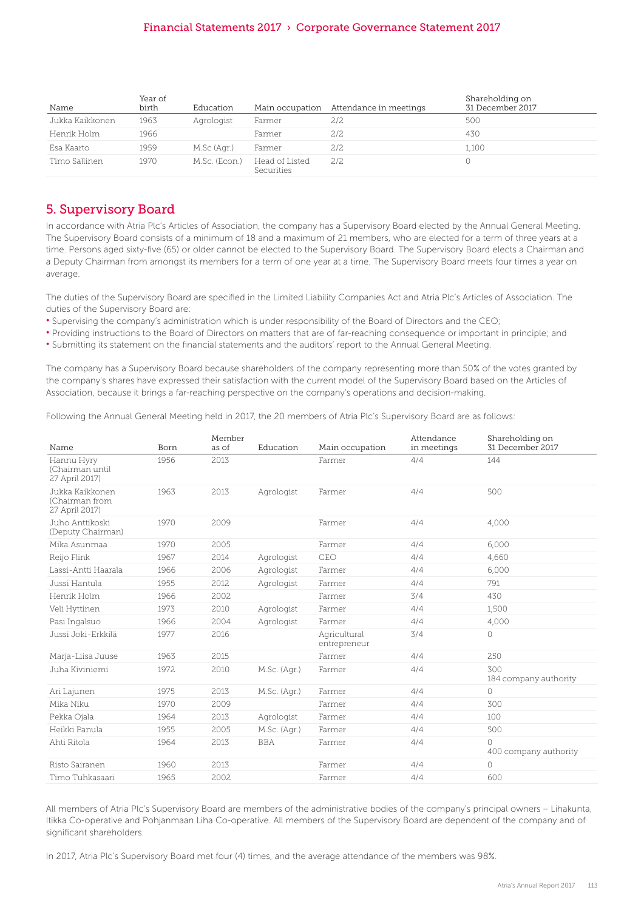### Financial Statements 2017 › Corporate Governance Statement 2017

| Name            | Year of<br>birth | Education     |                              | Main occupation Attendance in meetings | Shareholding on<br>31 December 2017 |
|-----------------|------------------|---------------|------------------------------|----------------------------------------|-------------------------------------|
| Jukka Kaikkonen | 1963             | Agrologist    | Farmer                       | 2/2                                    | 500                                 |
| Henrik Holm     | 1966             |               | Farmer                       | 2/2                                    | 430                                 |
| Esa Kaarto      | 1959             | M.Sc (Agr.)   | Farmer                       | 2/2                                    | 1,100                               |
| Timo Sallinen   | 1970             | M.Sc. (Econ.) | Head of Listed<br>Securities | 2/2                                    |                                     |

# 5. Supervisory Board

In accordance with Atria Plc's Articles of Association, the company has a Supervisory Board elected by the Annual General Meeting. The Supervisory Board consists of a minimum of 18 and a maximum of 21 members, who are elected for a term of three years at a time. Persons aged sixty-five (65) or older cannot be elected to the Supervisory Board. The Supervisory Board elects a Chairman and a Deputy Chairman from amongst its members for a term of one year at a time. The Supervisory Board meets four times a year on average.

The duties of the Supervisory Board are specified in the Limited Liability Companies Act and Atria Plc's Articles of Association. The duties of the Supervisory Board are:

- Supervising the company's administration which is under responsibility of the Board of Directors and the CEO;
- Providing instructions to the Board of Directors on matters that are of far-reaching consequence or important in principle; and
- Submitting its statement on the financial statements and the auditors' report to the Annual General Meeting.

The company has a Supervisory Board because shareholders of the company representing more than 50% of the votes granted by the company's shares have expressed their satisfaction with the current model of the Supervisory Board based on the Articles of Association, because it brings a far-reaching perspective on the company's operations and decision-making.

Following the Annual General Meeting held in 2017, the 20 members of Atria Plc's Supervisory Board are as follows:

| Name                                                | Born | Member<br>as of | Education    | Main occupation              | Attendance<br>in meetings | Shareholding on<br>31 December 2017 |
|-----------------------------------------------------|------|-----------------|--------------|------------------------------|---------------------------|-------------------------------------|
| Hannu Hyry<br>(Chairman until<br>27 April 2017)     | 1956 | 2013            |              | Farmer                       | 4/4                       | 144                                 |
| Jukka Kaikkonen<br>(Chairman from<br>27 April 2017) | 1963 | 2013            | Agrologist   | Farmer                       | 4/4                       | 500                                 |
| Juho Anttikoski<br>(Deputy Chairman)                | 1970 | 2009            |              | Farmer                       | 4/4                       | 4.000                               |
| Mika Asunmaa                                        | 1970 | 2005            |              | Farmer                       | 4/4                       | 6,000                               |
| Reijo Flink                                         | 1967 | 2014            | Agrologist   | CEO                          | 4/4                       | 4,660                               |
| Lassi-Antti Haarala                                 | 1966 | 2006            | Agrologist   | Farmer                       | 4/4                       | 6,000                               |
| Jussi Hantula                                       | 1955 | 2012            | Agrologist   | Farmer                       | 4/4                       | 791                                 |
| Henrik Holm                                         | 1966 | 2002            |              | Farmer                       | 3/4                       | 430                                 |
| Veli Hyttinen                                       | 1973 | 2010            | Agrologist   | Farmer                       | 4/4                       | 1,500                               |
| Pasi Ingalsuo                                       | 1966 | 2004            | Agrologist   | Farmer                       | 4/4                       | 4,000                               |
| Jussi Joki-Erkkilä                                  | 1977 | 2016            |              | Agricultural<br>entrepreneur | 3/4                       | 0                                   |
| Marja-Liisa Juuse                                   | 1963 | 2015            |              | Farmer                       | 4/4                       | 250                                 |
| Juha Kiviniemi                                      | 1972 | 2010            | M.Sc. (Agr.) | Farmer                       | 4/4                       | 300<br>184 company authority        |
| Ari Lajunen                                         | 1975 | 2013            | M.Sc. (Agr.) | Farmer                       | 4/4                       | $\circ$                             |
| Mika Niku                                           | 1970 | 2009            |              | Farmer                       | 4/4                       | 300                                 |
| Pekka Ojala                                         | 1964 | 2013            | Agrologist   | Farmer                       | 4/4                       | 100                                 |
| Heikki Panula                                       | 1955 | 2005            | M.Sc. (Agr.) | Farmer                       | 4/4                       | 500                                 |
| Ahti Ritola                                         | 1964 | 2013            | <b>BBA</b>   | Farmer                       | 4/4                       | $\circ$<br>400 company authority    |
| Risto Sairanen                                      | 1960 | 2013            |              | Farmer                       | 4/4                       | $\circ$                             |
| Timo Tuhkasaari                                     | 1965 | 2002            |              | Farmer                       | 4/4                       | 600                                 |

All members of Atria Plc's Supervisory Board are members of the administrative bodies of the company's principal owners – Lihakunta, Itikka Co-operative and Pohjanmaan Liha Co-operative. All members of the Supervisory Board are dependent of the company and of significant shareholders.

In 2017, Atria Plc's Supervisory Board met four (4) times, and the average attendance of the members was 98%.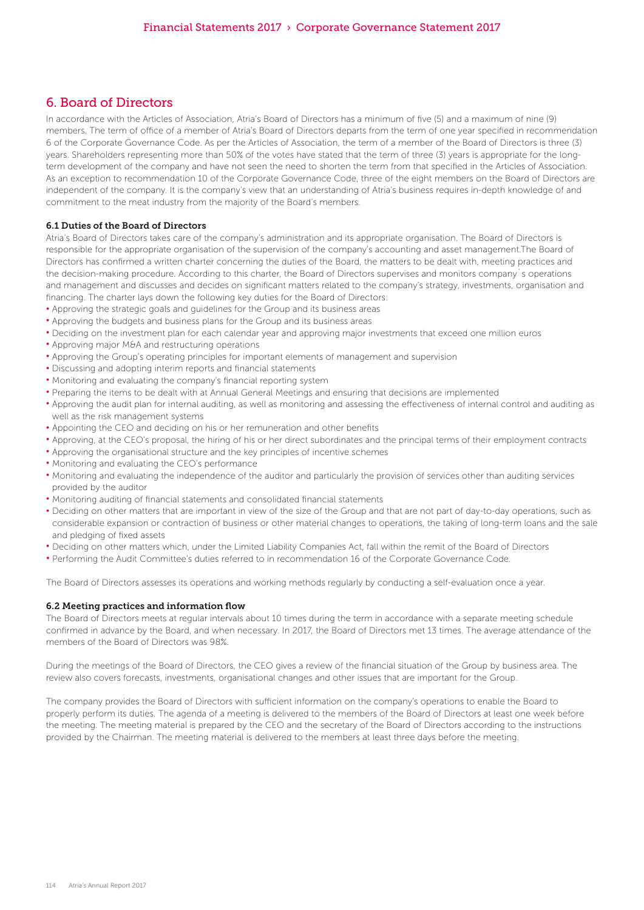# 6. Board of Directors

In accordance with the Articles of Association, Atria's Board of Directors has a minimum of five (5) and a maximum of nine (9) members. The term of office of a member of Atria's Board of Directors departs from the term of one year specified in recommendation 6 of the Corporate Governance Code. As per the Articles of Association, the term of a member of the Board of Directors is three (3) years. Shareholders representing more than 50% of the votes have stated that the term of three (3) years is appropriate for the longterm development of the company and have not seen the need to shorten the term from that specified in the Articles of Association. As an exception to recommendation 10 of the Corporate Governance Code, three of the eight members on the Board of Directors are independent of the company. It is the company's view that an understanding of Atria's business requires in-depth knowledge of and commitment to the meat industry from the majority of the Board's members.

#### 6.1 Duties of the Board of Directors

Atria's Board of Directors takes care of the company's administration and its appropriate organisation. The Board of Directors is responsible for the appropriate organisation of the supervision of the company's accounting and asset management.The Board of Directors has confirmed a written charter concerning the duties of the Board, the matters to be dealt with, meeting practices and the decision-making procedure. According to this charter, the Board of Directors supervises and monitors company`s operations and management and discusses and decides on significant matters related to the company's strategy, investments, organisation and financing. The charter lays down the following key duties for the Board of Directors:

- Approving the strategic goals and guidelines for the Group and its business areas
- Approving the budgets and business plans for the Group and its business areas
- Deciding on the investment plan for each calendar year and approving major investments that exceed one million euros
- Approving major M&A and restructuring operations
- Approving the Group's operating principles for important elements of management and supervision
- Discussing and adopting interim reports and financial statements
- Monitoring and evaluating the company's financial reporting system
- Preparing the items to be dealt with at Annual General Meetings and ensuring that decisions are implemented
- Approving the audit plan for internal auditing, as well as monitoring and assessing the effectiveness of internal control and auditing as well as the risk management systems
- Appointing the CEO and deciding on his or her remuneration and other benefits
- Approving, at the CEO's proposal, the hiring of his or her direct subordinates and the principal terms of their employment contracts
- Approving the organisational structure and the key principles of incentive schemes
- Monitoring and evaluating the CEO's performance
- Monitoring and evaluating the independence of the auditor and particularly the provision of services other than auditing services provided by the auditor
- Monitoring auditing of financial statements and consolidated financial statements
- Deciding on other matters that are important in view of the size of the Group and that are not part of day-to-day operations, such as considerable expansion or contraction of business or other material changes to operations, the taking of long-term loans and the sale and pledging of fixed assets
- Deciding on other matters which, under the Limited Liability Companies Act, fall within the remit of the Board of Directors
- Performing the Audit Committee's duties referred to in recommendation 16 of the Corporate Governance Code.

The Board of Directors assesses its operations and working methods regularly by conducting a self-evaluation once a year.

#### 6.2 Meeting practices and information flow

The Board of Directors meets at regular intervals about 10 times during the term in accordance with a separate meeting schedule confirmed in advance by the Board, and when necessary. In 2017, the Board of Directors met 13 times. The average attendance of the members of the Board of Directors was 98%.

During the meetings of the Board of Directors, the CEO gives a review of the financial situation of the Group by business area. The review also covers forecasts, investments, organisational changes and other issues that are important for the Group.

The company provides the Board of Directors with sufficient information on the company's operations to enable the Board to properly perform its duties. The agenda of a meeting is delivered to the members of the Board of Directors at least one week before the meeting. The meeting material is prepared by the CEO and the secretary of the Board of Directors according to the instructions provided by the Chairman. The meeting material is delivered to the members at least three days before the meeting.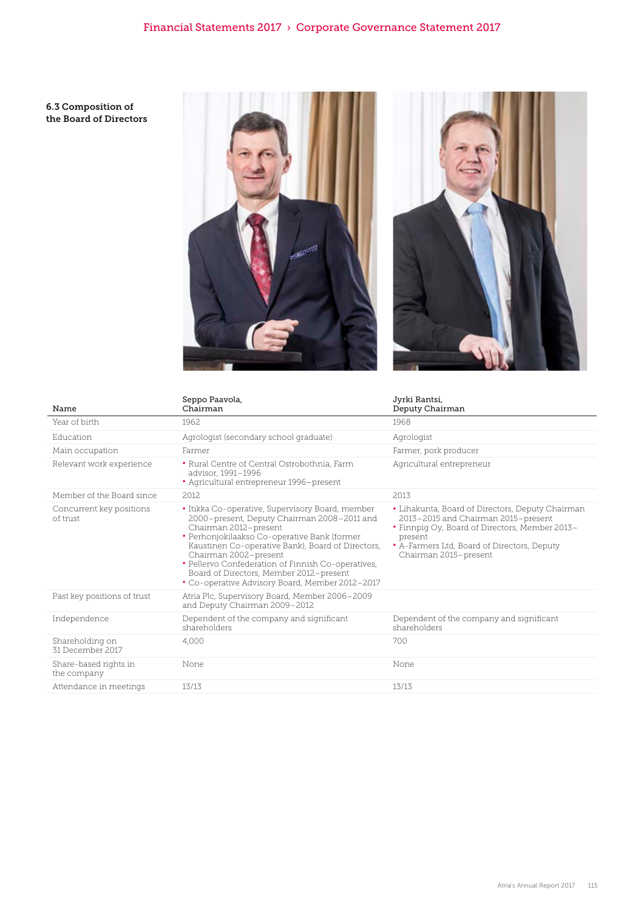6.3 Composition of the Board of Directors





| Name                                 | Seppo Paavola,<br>Chairman                                                                                                                                                                                                                                                                                                                                                                                 | Jyrki Rantsi,<br>Deputy Chairman                                                                                                                                                                                             |
|--------------------------------------|------------------------------------------------------------------------------------------------------------------------------------------------------------------------------------------------------------------------------------------------------------------------------------------------------------------------------------------------------------------------------------------------------------|------------------------------------------------------------------------------------------------------------------------------------------------------------------------------------------------------------------------------|
| Year of birth                        | 1962                                                                                                                                                                                                                                                                                                                                                                                                       | 1968                                                                                                                                                                                                                         |
| Education                            | Agrologist (secondary school graduate)                                                                                                                                                                                                                                                                                                                                                                     | Agrologist                                                                                                                                                                                                                   |
| Main occupation                      | Farmer                                                                                                                                                                                                                                                                                                                                                                                                     | Farmer, pork producer                                                                                                                                                                                                        |
| Relevant work experience             | • Rural Centre of Central Ostrobothnia, Farm<br>advisor, 1991-1996<br>• Agricultural entrepreneur 1996-present                                                                                                                                                                                                                                                                                             | Agricultural entrepreneur                                                                                                                                                                                                    |
| Member of the Board since            | 2012                                                                                                                                                                                                                                                                                                                                                                                                       | 2013                                                                                                                                                                                                                         |
| Concurrent key positions<br>of trust | • Itikka Co-operative, Supervisory Board, member<br>2000-present, Deputy Chairman 2008-2011 and<br>Chairman 2012-present<br>• Perhonjokilaakso Co-operative Bank (former<br>Kaustinen Co-operative Bank), Board of Directors,<br>Chairman 2002-present<br>• Pellervo Confederation of Finnish Co-operatives,<br>Board of Directors, Member 2012-present<br>• Co-operative Advisory Board, Member 2012-2017 | • Lihakunta, Board of Directors, Deputy Chairman<br>2013-2015 and Chairman 2015-present<br>• Finnpig Oy, Board of Directors, Member 2013-<br>present<br>• A-Farmers Ltd, Board of Directors, Deputy<br>Chairman 2015-present |
| Past key positions of trust          | Atria Plc, Supervisory Board, Member 2006–2009<br>and Deputy Chairman 2009-2012                                                                                                                                                                                                                                                                                                                            |                                                                                                                                                                                                                              |
| Independence                         | Dependent of the company and significant<br>shareholders                                                                                                                                                                                                                                                                                                                                                   | Dependent of the company and significant<br>shareholders                                                                                                                                                                     |
| Shareholding on<br>31 December 2017  | 4.000                                                                                                                                                                                                                                                                                                                                                                                                      | 700                                                                                                                                                                                                                          |
| Share-based rights in<br>the company | None                                                                                                                                                                                                                                                                                                                                                                                                       | None                                                                                                                                                                                                                         |
| Attendance in meetings               | 13/13                                                                                                                                                                                                                                                                                                                                                                                                      | 13/13                                                                                                                                                                                                                        |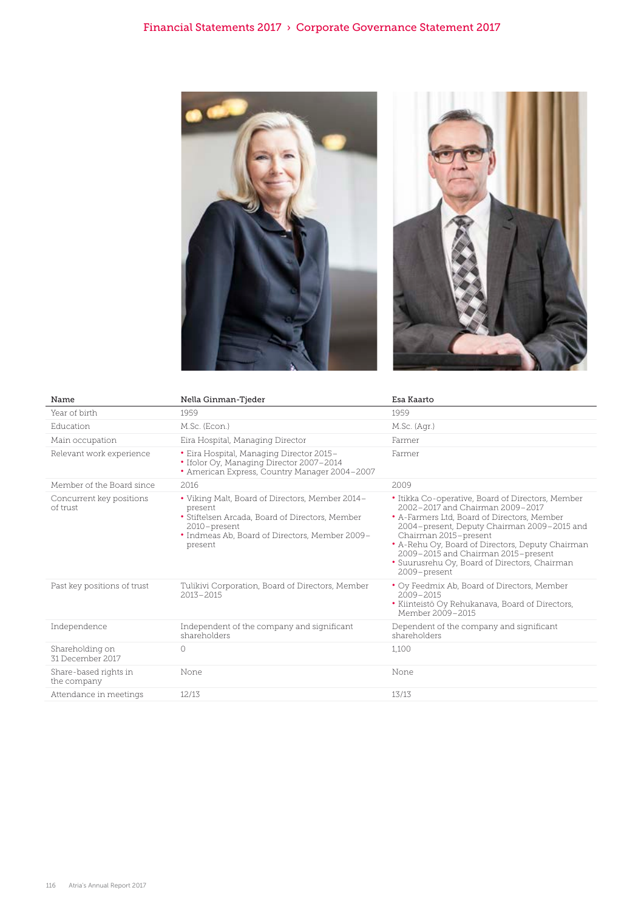



| Name                                 | Nella Ginman-Tjeder                                                                                                                                                                        | Esa Kaarto                                                                                                                                                                                                                                                                                                                                                               |
|--------------------------------------|--------------------------------------------------------------------------------------------------------------------------------------------------------------------------------------------|--------------------------------------------------------------------------------------------------------------------------------------------------------------------------------------------------------------------------------------------------------------------------------------------------------------------------------------------------------------------------|
| Year of birth                        | 1959                                                                                                                                                                                       | 1959                                                                                                                                                                                                                                                                                                                                                                     |
| Education                            | M.Sc. (Econ.)                                                                                                                                                                              | M.Sc. (Agr.)                                                                                                                                                                                                                                                                                                                                                             |
| Main occupation                      | Eira Hospital, Managing Director                                                                                                                                                           | Farmer                                                                                                                                                                                                                                                                                                                                                                   |
| Relevant work experience             | • Eira Hospital, Managing Director 2015-<br>• Ifolor Oy, Managing Director 2007-2014<br>• American Express, Country Manager 2004-2007                                                      | Farmer                                                                                                                                                                                                                                                                                                                                                                   |
| Member of the Board since            | 2016                                                                                                                                                                                       | 2009                                                                                                                                                                                                                                                                                                                                                                     |
| Concurrent key positions<br>of trust | • Viking Malt, Board of Directors, Member 2014-<br>present<br>• Stiftelsen Arcada, Board of Directors, Member<br>2010-present<br>• Indmeas Ab, Board of Directors, Member 2009-<br>present | • Itikka Co-operative, Board of Directors, Member<br>2002–2017 and Chairman 2009–2017<br>• A-Farmers Ltd, Board of Directors, Member<br>2004–present, Deputy Chairman 2009–2015 and<br>Chairman 2015-present<br>• A-Rehu Oy, Board of Directors, Deputy Chairman<br>2009-2015 and Chairman 2015-present<br>• Suurusrehu Oy, Board of Directors, Chairman<br>2009-present |
| Past key positions of trust          | Tulikivi Corporation, Board of Directors, Member<br>$2013 - 2015$                                                                                                                          | • Oy Feedmix Ab, Board of Directors, Member<br>$2009 - 2015$<br>• Kiinteistö Oy Rehukanava, Board of Directors,<br>Member 2009-2015                                                                                                                                                                                                                                      |
| Independence                         | Independent of the company and significant<br>shareholders                                                                                                                                 | Dependent of the company and significant<br>shareholders                                                                                                                                                                                                                                                                                                                 |
| Shareholding on<br>31 December 2017  | $\circ$                                                                                                                                                                                    | 1,100                                                                                                                                                                                                                                                                                                                                                                    |
| Share-based rights in<br>the company | None                                                                                                                                                                                       | None                                                                                                                                                                                                                                                                                                                                                                     |
| Attendance in meetings               | 12/13                                                                                                                                                                                      | 13/13                                                                                                                                                                                                                                                                                                                                                                    |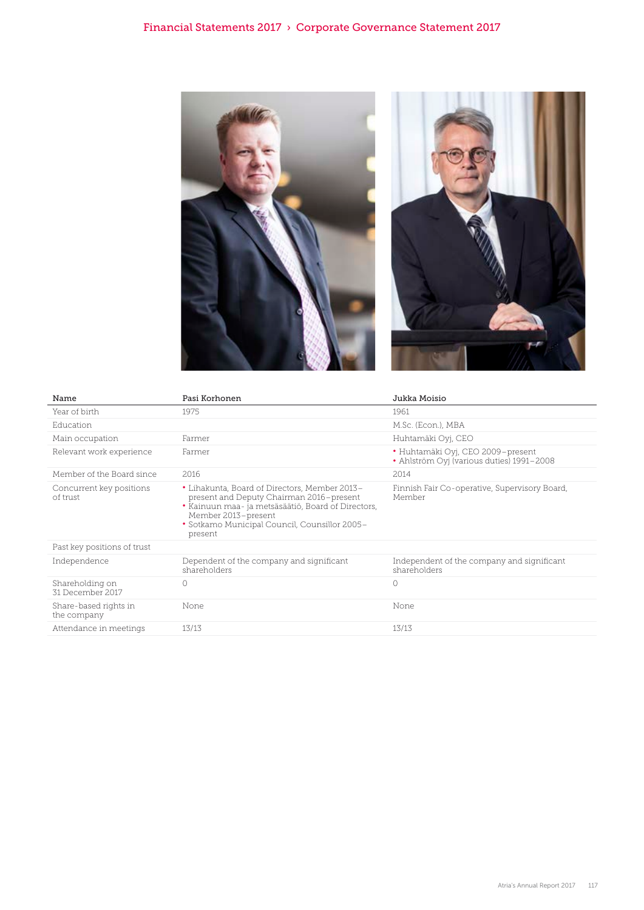

| Name                                 | Pasi Korhonen                                                                                                                                                                                                                      | Jukka Moisio                                                                   |
|--------------------------------------|------------------------------------------------------------------------------------------------------------------------------------------------------------------------------------------------------------------------------------|--------------------------------------------------------------------------------|
| Year of birth                        | 1975                                                                                                                                                                                                                               | 1961                                                                           |
| Education                            |                                                                                                                                                                                                                                    | M.Sc. (Econ.), MBA                                                             |
| Main occupation                      | Farmer                                                                                                                                                                                                                             | Huhtamäki Oyj, CEO                                                             |
| Relevant work experience             | Farmer                                                                                                                                                                                                                             | • Huhtamäki Oyj, CEO 2009-present<br>• Ahlström Oyj (various duties) 1991-2008 |
| Member of the Board since            | 2016                                                                                                                                                                                                                               | 2014                                                                           |
| Concurrent key positions<br>of trust | • Lihakunta, Board of Directors, Member 2013-<br>present and Deputy Chairman 2016-present<br>· Kainuun maa- ja metsäsäätiö, Board of Directors,<br>Member 2013-present<br>• Sotkamo Municipal Council, Counsillor 2005-<br>present | Finnish Fair Co-operative, Supervisory Board,<br>Member                        |
| Past key positions of trust          |                                                                                                                                                                                                                                    |                                                                                |
| Independence                         | Dependent of the company and significant<br>shareholders                                                                                                                                                                           | Independent of the company and significant<br>shareholders                     |
| Shareholding on<br>31 December 2017  | $\circ$                                                                                                                                                                                                                            | $\bigcirc$                                                                     |
| Share-based rights in<br>the company | None                                                                                                                                                                                                                               | None                                                                           |
| Attendance in meetings               | 13/13                                                                                                                                                                                                                              | 13/13                                                                          |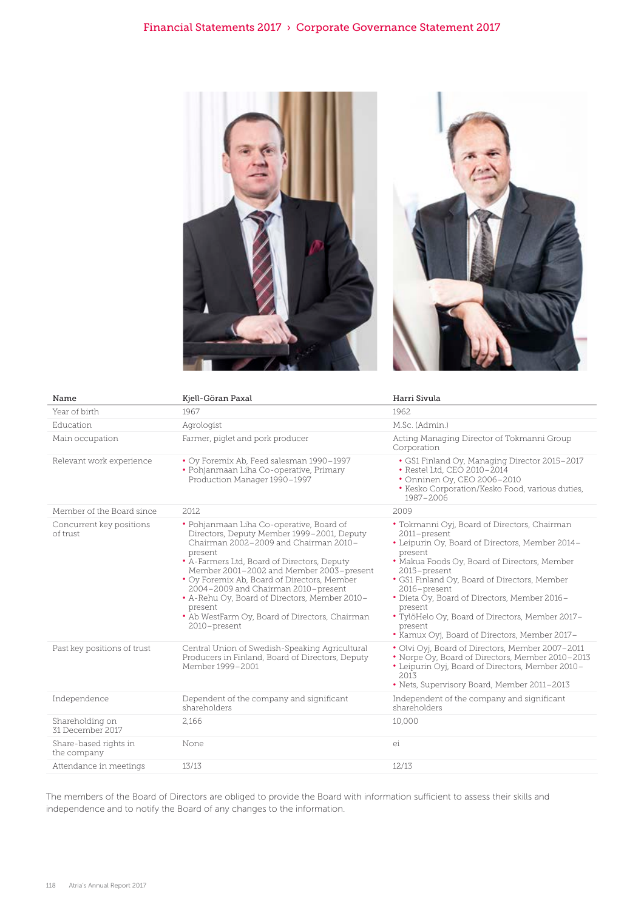

| Name                                 | Kjell-Göran Paxal                                                                                                                                                                                                                                                                                                                                                                                                                                         | Harri Sivula                                                                                                                                                                                                                                                                                                                                                                                                                         |
|--------------------------------------|-----------------------------------------------------------------------------------------------------------------------------------------------------------------------------------------------------------------------------------------------------------------------------------------------------------------------------------------------------------------------------------------------------------------------------------------------------------|--------------------------------------------------------------------------------------------------------------------------------------------------------------------------------------------------------------------------------------------------------------------------------------------------------------------------------------------------------------------------------------------------------------------------------------|
| Year of birth                        | 1967                                                                                                                                                                                                                                                                                                                                                                                                                                                      | 1962                                                                                                                                                                                                                                                                                                                                                                                                                                 |
| Education                            | Agrologist                                                                                                                                                                                                                                                                                                                                                                                                                                                | M.Sc. (Admin.)                                                                                                                                                                                                                                                                                                                                                                                                                       |
| Main occupation                      | Farmer, piglet and pork producer                                                                                                                                                                                                                                                                                                                                                                                                                          | Acting Managing Director of Tokmanni Group<br>Corporation                                                                                                                                                                                                                                                                                                                                                                            |
| Relevant work experience             | • Oy Foremix Ab, Feed salesman 1990-1997<br>• Pohjanmaan Liha Co-operative, Primary<br>Production Manager 1990-1997                                                                                                                                                                                                                                                                                                                                       | • GS1 Finland Oy, Managing Director 2015-2017<br>• Restel Ltd, CEO 2010-2014<br>• Onninen Oy, CEO 2006-2010<br>• Kesko Corporation/Kesko Food, various duties,<br>1987-2006                                                                                                                                                                                                                                                          |
| Member of the Board since            | 2012                                                                                                                                                                                                                                                                                                                                                                                                                                                      | 2009                                                                                                                                                                                                                                                                                                                                                                                                                                 |
| Concurrent key positions<br>of trust | · Pohjanmaan Liha Co-operative, Board of<br>Directors, Deputy Member 1999-2001, Deputy<br>Chairman 2002-2009 and Chairman 2010-<br>present<br>• A-Farmers Ltd, Board of Directors, Deputy<br>Member 2001-2002 and Member 2003-present<br>• Oy Foremix Ab, Board of Directors, Member<br>2004-2009 and Chairman 2010-present<br>• A-Rehu Oy, Board of Directors, Member 2010-<br>present<br>• Ab WestFarm Oy, Board of Directors, Chairman<br>2010-present | • Tokmanni Oyj, Board of Directors, Chairman<br>2011-present<br>• Leipurin Oy, Board of Directors, Member 2014-<br>present<br>. Makua Foods Oy, Board of Directors, Member<br>2015-present<br>• GS1 Finland Oy, Board of Directors, Member<br>2016-present<br>• Dieta Oy, Board of Directors, Member 2016-<br>present<br>. TylöHelo Oy, Board of Directors, Member 2017-<br>present<br>• Kamux Oyj, Board of Directors, Member 2017- |
| Past key positions of trust          | Central Union of Swedish-Speaking Agricultural<br>Producers in Finland, Board of Directors, Deputy<br>Member 1999-2001                                                                                                                                                                                                                                                                                                                                    | • Olvi Oyi, Board of Directors, Member 2007-2011<br>. Norpe Oy, Board of Directors, Member 2010-2013<br>• Leipurin Oyj, Board of Directors, Member 2010-<br>2013<br>• Nets, Supervisory Board, Member 2011-2013                                                                                                                                                                                                                      |
| Independence                         | Dependent of the company and significant<br>shareholders                                                                                                                                                                                                                                                                                                                                                                                                  | Independent of the company and significant<br>shareholders                                                                                                                                                                                                                                                                                                                                                                           |
| Shareholding on<br>31 December 2017  | 2,166                                                                                                                                                                                                                                                                                                                                                                                                                                                     | 10,000                                                                                                                                                                                                                                                                                                                                                                                                                               |
| Share-based rights in<br>the company | None                                                                                                                                                                                                                                                                                                                                                                                                                                                      | ei                                                                                                                                                                                                                                                                                                                                                                                                                                   |
| Attendance in meetings               | 13/13                                                                                                                                                                                                                                                                                                                                                                                                                                                     | 12/13                                                                                                                                                                                                                                                                                                                                                                                                                                |
|                                      |                                                                                                                                                                                                                                                                                                                                                                                                                                                           |                                                                                                                                                                                                                                                                                                                                                                                                                                      |

The members of the Board of Directors are obliged to provide the Board with information sufficient to assess their skills and independence and to notify the Board of any changes to the information.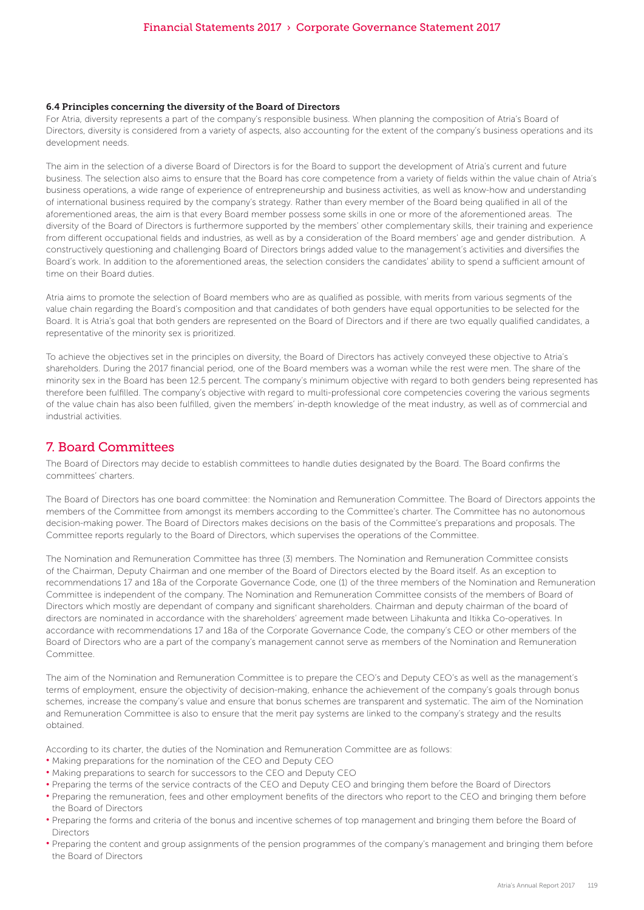#### 6.4 Principles concerning the diversity of the Board of Directors

For Atria, diversity represents a part of the company's responsible business. When planning the composition of Atria's Board of Directors, diversity is considered from a variety of aspects, also accounting for the extent of the company's business operations and its development needs.

The aim in the selection of a diverse Board of Directors is for the Board to support the development of Atria's current and future business. The selection also aims to ensure that the Board has core competence from a variety of fields within the value chain of Atria's business operations, a wide range of experience of entrepreneurship and business activities, as well as know-how and understanding of international business required by the company's strategy. Rather than every member of the Board being qualified in all of the aforementioned areas, the aim is that every Board member possess some skills in one or more of the aforementioned areas. The diversity of the Board of Directors is furthermore supported by the members' other complementary skills, their training and experience from different occupational fields and industries, as well as by a consideration of the Board members' age and gender distribution. A constructively questioning and challenging Board of Directors brings added value to the management's activities and diversifies the Board's work. In addition to the aforementioned areas, the selection considers the candidates' ability to spend a sufficient amount of time on their Board duties.

Atria aims to promote the selection of Board members who are as qualified as possible, with merits from various segments of the value chain regarding the Board's composition and that candidates of both genders have equal opportunities to be selected for the Board. It is Atria's goal that both genders are represented on the Board of Directors and if there are two equally qualified candidates, a representative of the minority sex is prioritized.

To achieve the objectives set in the principles on diversity, the Board of Directors has actively conveyed these objective to Atria's shareholders. During the 2017 financial period, one of the Board members was a woman while the rest were men. The share of the minority sex in the Board has been 12.5 percent. The company's minimum objective with regard to both genders being represented has therefore been fulfilled. The company's objective with regard to multi-professional core competencies covering the various segments of the value chain has also been fulfilled, given the members' in-depth knowledge of the meat industry, as well as of commercial and industrial activities.

# 7. Board Committees

The Board of Directors may decide to establish committees to handle duties designated by the Board. The Board confirms the committees' charters.

The Board of Directors has one board committee: the Nomination and Remuneration Committee. The Board of Directors appoints the members of the Committee from amongst its members according to the Committee's charter. The Committee has no autonomous decision-making power. The Board of Directors makes decisions on the basis of the Committee's preparations and proposals. The Committee reports regularly to the Board of Directors, which supervises the operations of the Committee.

The Nomination and Remuneration Committee has three (3) members. The Nomination and Remuneration Committee consists of the Chairman, Deputy Chairman and one member of the Board of Directors elected by the Board itself. As an exception to recommendations 17 and 18a of the Corporate Governance Code, one (1) of the three members of the Nomination and Remuneration Committee is independent of the company. The Nomination and Remuneration Committee consists of the members of Board of Directors which mostly are dependant of company and significant shareholders. Chairman and deputy chairman of the board of directors are nominated in accordance with the shareholders' agreement made between Lihakunta and Itikka Co-operatives. In accordance with recommendations 17 and 18a of the Corporate Governance Code, the company's CEO or other members of the Board of Directors who are a part of the company's management cannot serve as members of the Nomination and Remuneration Committee.

The aim of the Nomination and Remuneration Committee is to prepare the CEO's and Deputy CEO's as well as the management's terms of employment, ensure the objectivity of decision-making, enhance the achievement of the company's goals through bonus schemes, increase the company's value and ensure that bonus schemes are transparent and systematic. The aim of the Nomination and Remuneration Committee is also to ensure that the merit pay systems are linked to the company's strategy and the results obtained.

According to its charter, the duties of the Nomination and Remuneration Committee are as follows:

- Making preparations for the nomination of the CEO and Deputy CEO
- Making preparations to search for successors to the CEO and Deputy CEO
- Preparing the terms of the service contracts of the CEO and Deputy CEO and bringing them before the Board of Directors
- Preparing the remuneration, fees and other employment benefits of the directors who report to the CEO and bringing them before the Board of Directors
- Preparing the forms and criteria of the bonus and incentive schemes of top management and bringing them before the Board of Directors
- Preparing the content and group assignments of the pension programmes of the company's management and bringing them before the Board of Directors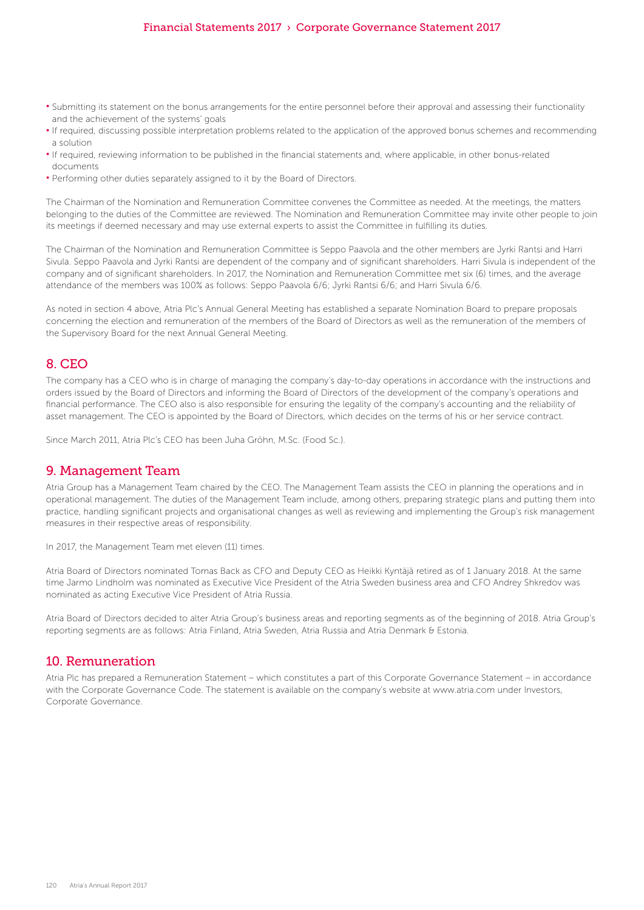### Financial Statements 2017 › Corporate Governance Statement 2017

- Submitting its statement on the bonus arrangements for the entire personnel before their approval and assessing their functionality and the achievement of the systems' goals
- If required, discussing possible interpretation problems related to the application of the approved bonus schemes and recommending a solution
- If required, reviewing information to be published in the financial statements and, where applicable, in other bonus-related documents
- Performing other duties separately assigned to it by the Board of Directors.

The Chairman of the Nomination and Remuneration Committee convenes the Committee as needed. At the meetings, the matters belonging to the duties of the Committee are reviewed. The Nomination and Remuneration Committee may invite other people to join its meetings if deemed necessary and may use external experts to assist the Committee in fulfilling its duties.

The Chairman of the Nomination and Remuneration Committee is Seppo Paavola and the other members are Jyrki Rantsi and Harri Sivula. Seppo Paavola and Jyrki Rantsi are dependent of the company and of significant shareholders. Harri Sivula is independent of the company and of significant shareholders. In 2017, the Nomination and Remuneration Committee met six (6) times, and the average attendance of the members was 100% as follows: Seppo Paavola 6/6; Jyrki Rantsi 6/6; and Harri Sivula 6/6.

As noted in section 4 above, Atria Plc's Annual General Meeting has established a separate Nomination Board to prepare proposals concerning the election and remuneration of the members of the Board of Directors as well as the remuneration of the members of the Supervisory Board for the next Annual General Meeting.

### 8. CEO

The company has a CEO who is in charge of managing the company's day-to-day operations in accordance with the instructions and orders issued by the Board of Directors and informing the Board of Directors of the development of the company's operations and financial performance. The CEO also is also responsible for ensuring the legality of the company's accounting and the reliability of asset management. The CEO is appointed by the Board of Directors, which decides on the terms of his or her service contract.

Since March 2011, Atria Plc's CEO has been Juha Gröhn, M.Sc. (Food Sc.).

### 9. Management Team

Atria Group has a Management Team chaired by the CEO. The Management Team assists the CEO in planning the operations and in operational management. The duties of the Management Team include, among others, preparing strategic plans and putting them into practice, handling significant projects and organisational changes as well as reviewing and implementing the Group's risk management measures in their respective areas of responsibility.

In 2017, the Management Team met eleven (11) times.

Atria Board of Directors nominated Tomas Back as CFO and Deputy CEO as Heikki Kyntäjä retired as of 1 January 2018. At the same time Jarmo Lindholm was nominated as Executive Vice President of the Atria Sweden business area and CFO Andrey Shkredov was nominated as acting Executive Vice President of Atria Russia.

Atria Board of Directors decided to alter Atria Group's business areas and reporting segments as of the beginning of 2018. Atria Group's reporting segments are as follows: Atria Finland, Atria Sweden, Atria Russia and Atria Denmark & Estonia.

### 10. Remuneration

Atria Plc has prepared a Remuneration Statement – which constitutes a part of this Corporate Governance Statement – in accordance with the Corporate Governance Code. The statement is available on the company's website at www.atria.com under Investors, Corporate Governance.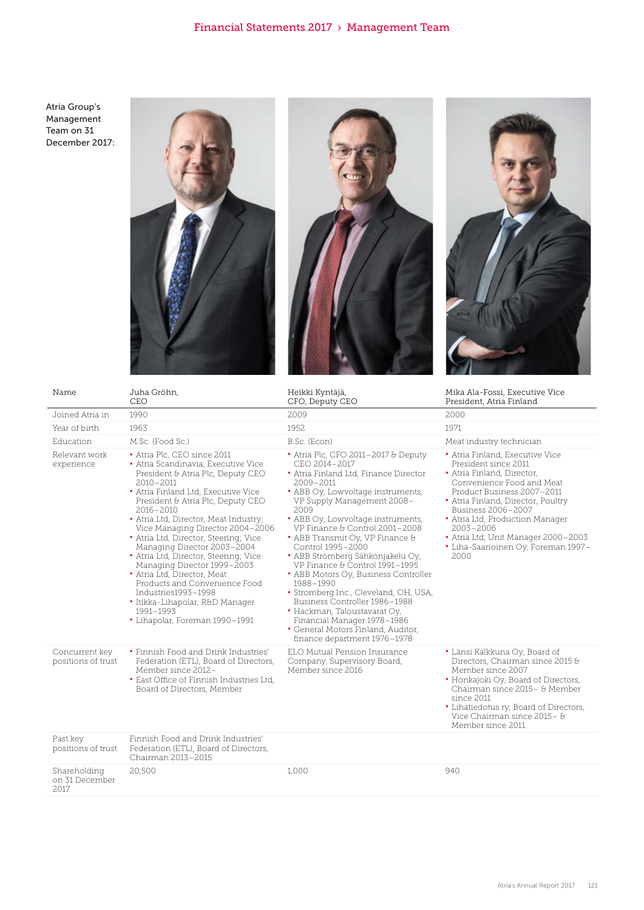Atria Group's Management Team on 31 December 2017:







| Name                                   | Juha Gröhn,<br>CEO                                                                                                                                                                                                                                                                                                                                                                                                                                                                                                                                                                                                          | Heikki Kyntäjä,<br>CFO, Deputy CEO                                                                                                                                                                                                                                                                                                                                                                                                                                                                                                                                                                                                                             | Mika Ala-Fossi, Executive Vice<br>President, Atria Finland                                                                                                                                                                                                                                                                                             |
|----------------------------------------|-----------------------------------------------------------------------------------------------------------------------------------------------------------------------------------------------------------------------------------------------------------------------------------------------------------------------------------------------------------------------------------------------------------------------------------------------------------------------------------------------------------------------------------------------------------------------------------------------------------------------------|----------------------------------------------------------------------------------------------------------------------------------------------------------------------------------------------------------------------------------------------------------------------------------------------------------------------------------------------------------------------------------------------------------------------------------------------------------------------------------------------------------------------------------------------------------------------------------------------------------------------------------------------------------------|--------------------------------------------------------------------------------------------------------------------------------------------------------------------------------------------------------------------------------------------------------------------------------------------------------------------------------------------------------|
| Joined Atria in                        | 1990                                                                                                                                                                                                                                                                                                                                                                                                                                                                                                                                                                                                                        | 2009                                                                                                                                                                                                                                                                                                                                                                                                                                                                                                                                                                                                                                                           | 2000                                                                                                                                                                                                                                                                                                                                                   |
| Year of birth                          | 1963                                                                                                                                                                                                                                                                                                                                                                                                                                                                                                                                                                                                                        | 1952                                                                                                                                                                                                                                                                                                                                                                                                                                                                                                                                                                                                                                                           | 1971                                                                                                                                                                                                                                                                                                                                                   |
| Education                              | M.Sc. (Food Sc.)                                                                                                                                                                                                                                                                                                                                                                                                                                                                                                                                                                                                            | B.Sc. (Econ)                                                                                                                                                                                                                                                                                                                                                                                                                                                                                                                                                                                                                                                   | Meat industry technician                                                                                                                                                                                                                                                                                                                               |
| Relevant work<br>experience            | • Atria Plc, CEO since 2011<br>· Atria Scandinavia, Executive Vice<br>President & Atria Plc, Deputy CEO<br>$2010 - 2011$<br>• Atria Finland Ltd, Executive Vice<br>President & Atria Plc, Deputy CEO<br>$2016 - 2010$<br>• Atria Ltd, Director, Meat Industry;<br>Vice Managing Director 2004-2006<br>• Atria Ltd, Director, Steering; Vice<br>Managing Director 2003-2004<br>· Atria Ltd, Director, Steering; Vice<br>Managing Director 1999-2003<br>• Atria Ltd, Director, Meat<br>Products and Convenience Food<br>Industries1993-1998<br>• Itikka-Lihapolar, R&D Manager<br>1991-1993<br>• Lihapolar, Foreman 1990-1991 | • Atria Plc, CFO 2011-2017 & Deputy<br>CEO 2014-2017<br>• Atria Finland Ltd, Finance Director<br>2009-2011<br>• ABB Oy, Lowvoltage instruments,<br>VP Supply Management 2008-<br>2009<br>• ABB Oy, Lowvoltage instruments,<br>VP Finance & Control 2001-2008<br>• ABB Transmit Oy, VP Finance &<br>Control 1995-2000<br>· ABB Strömberg Sähkönjakelu Oy,<br>VP Finance & Control 1991-1995<br>• ABB Motors Oy, Business Controller<br>1988-1990<br>• Stromberg Inc., Cleveland, OH, USA,<br>Business Controller 1986-1988<br>• Hackman, Taloustavarat Oy,<br>Financial Manager 1978-1986<br>• General Motors Finland, Auditor,<br>finance department 1976-1978 | • Atria Finland, Executive Vice<br>President since 2011<br>• Atria Finland, Director,<br>Convenience Food and Meat<br>Product Business 2007-2011<br>• Atria Finland, Director, Poultry<br>Business 2006-2007<br>• Atria Ltd, Production Manager<br>$2003 - 2006$<br>• Atria Ltd, Unit Manager 2000-2003<br>• Liha-Saarioinen Oy, Foreman 1997-<br>2000 |
| Concurrent key<br>positions of trust   | • Finnish Food and Drink Industries'<br>Federation (ETL), Board of Directors,<br>Member since 2012-<br>• East Office of Finnish Industries Ltd,<br>Board of Directors, Member                                                                                                                                                                                                                                                                                                                                                                                                                                               | ELO Mutual Pension Insurance<br>Company, Supervisory Board,<br>Member since 2016                                                                                                                                                                                                                                                                                                                                                                                                                                                                                                                                                                               | · Länsi Kalkkuna Oy, Board of<br>Directors, Chairman since 2015 &<br>Member since 2007<br>• Honkajoki Oy, Board of Directors,<br>Chairman since 2015 - & Member<br>since 2011<br>• Lihatiedotus ry, Board of Directors,<br>Vice Chairman since 2015- &<br>Member since 2011                                                                            |
| Past key<br>positions of trust         | Finnish Food and Drink Industries'<br>Federation (ETL), Board of Directors,<br>Chairman 2013-2015                                                                                                                                                                                                                                                                                                                                                                                                                                                                                                                           |                                                                                                                                                                                                                                                                                                                                                                                                                                                                                                                                                                                                                                                                |                                                                                                                                                                                                                                                                                                                                                        |
| Shareholding<br>on 31 December<br>2017 | 20,500                                                                                                                                                                                                                                                                                                                                                                                                                                                                                                                                                                                                                      | 1,000                                                                                                                                                                                                                                                                                                                                                                                                                                                                                                                                                                                                                                                          | 940                                                                                                                                                                                                                                                                                                                                                    |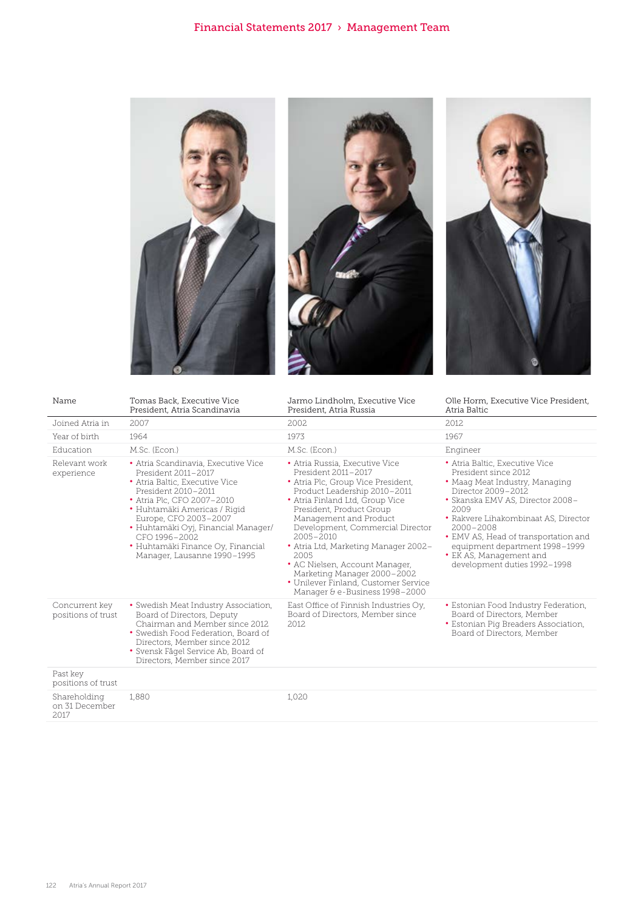





| Name                                             | Tomas Back, Executive Vice<br>President, Atria Scandinavia                                                                                                                                                                                                                                                                             | Jarmo Lindholm, Executive Vice<br>President, Atria Russia                                                                                                                                                                                                                                                                                                                                                                                                            | Olle Horm, Executive Vice President,<br>Atria Baltic                                                                                                                                                                                                                                                                                                     |
|--------------------------------------------------|----------------------------------------------------------------------------------------------------------------------------------------------------------------------------------------------------------------------------------------------------------------------------------------------------------------------------------------|----------------------------------------------------------------------------------------------------------------------------------------------------------------------------------------------------------------------------------------------------------------------------------------------------------------------------------------------------------------------------------------------------------------------------------------------------------------------|----------------------------------------------------------------------------------------------------------------------------------------------------------------------------------------------------------------------------------------------------------------------------------------------------------------------------------------------------------|
| Joined Atria in                                  | 2007                                                                                                                                                                                                                                                                                                                                   | 2002                                                                                                                                                                                                                                                                                                                                                                                                                                                                 | 2012                                                                                                                                                                                                                                                                                                                                                     |
| Year of birth                                    | 1964                                                                                                                                                                                                                                                                                                                                   | 1973                                                                                                                                                                                                                                                                                                                                                                                                                                                                 | 1967                                                                                                                                                                                                                                                                                                                                                     |
| Education                                        | M.Sc. (Econ.)                                                                                                                                                                                                                                                                                                                          | M.Sc. (Econ.)                                                                                                                                                                                                                                                                                                                                                                                                                                                        | Engineer                                                                                                                                                                                                                                                                                                                                                 |
| Relevant work<br>experience                      | · Atria Scandinavia, Executive Vice<br>President 2011-2017<br>• Atria Baltic, Executive Vice<br>President 2010-2011<br>• Atria Plc, CFO 2007-2010<br>· Huhtamäki Americas / Rigid<br>Europe, CFO 2003-2007<br>• Huhtamäki Oyj, Financial Manager/<br>CFO 1996-2002<br>• Huhtamäki Finance Oy, Financial<br>Manager, Lausanne 1990-1995 | • Atria Russia, Executive Vice<br>President 2011-2017<br>• Atria Plc, Group Vice President,<br>Product Leadership 2010-2011<br>• Atria Finland Ltd, Group Vice<br>President, Product Group<br>Management and Product<br>Development, Commercial Director<br>$2005 - 2010$<br>• Atria Ltd, Marketing Manager 2002-<br>2005<br>• AC Nielsen, Account Manager,<br>Marketing Manager 2000-2002<br>· Unilever Finland, Customer Service<br>Manager & e-Business 1998-2000 | • Atria Baltic, Executive Vice<br>President since 2012<br>• Maag Meat Industry, Managing<br>Director 2009-2012<br>• Skanska EMV AS, Director 2008-<br>2009<br>• Rakvere Lihakombinaat AS, Director<br>$2000 - 2008$<br>• EMV AS, Head of transportation and<br>equipment department 1998-1999<br>• EK AS, Management and<br>development duties 1992-1998 |
| Concurrent key<br>positions of trust<br>Past kev | • Swedish Meat Industry Association,<br>Board of Directors, Deputy<br>Chairman and Member since 2012<br>• Swedish Food Federation, Board of<br>Directors, Member since 2012<br>• Svensk Fågel Service Ab, Board of<br>Directors, Member since 2017                                                                                     | East Office of Finnish Industries Oy,<br>Board of Directors, Member since<br>2.012                                                                                                                                                                                                                                                                                                                                                                                   | • Estonian Food Industry Federation,<br>Board of Directors, Member<br>• Estonian Pig Breaders Association,<br>Board of Directors, Member                                                                                                                                                                                                                 |
| positions of trust                               |                                                                                                                                                                                                                                                                                                                                        |                                                                                                                                                                                                                                                                                                                                                                                                                                                                      |                                                                                                                                                                                                                                                                                                                                                          |
| Shareholding<br>on 31 December<br>2017           | 1,880                                                                                                                                                                                                                                                                                                                                  | 1,020                                                                                                                                                                                                                                                                                                                                                                                                                                                                |                                                                                                                                                                                                                                                                                                                                                          |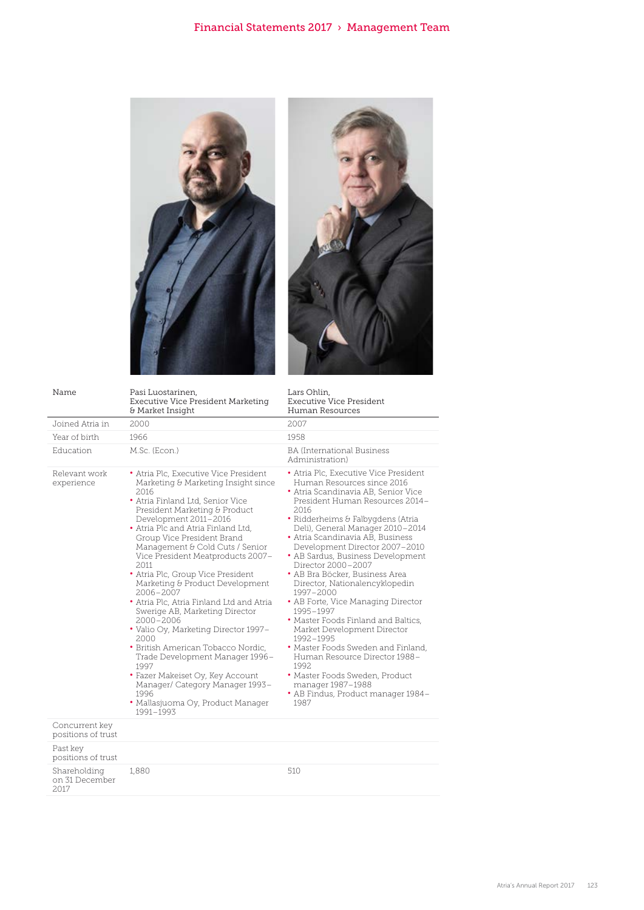



| Name                                   | Pasi Luostarinen,<br><b>Executive Vice President Marketing</b><br>& Market Insight                                                                                                                                                                                                                                                                                                                                                                                                                                                                                                                                                                                                                                                                                                        | Lars Ohlin,<br><b>Executive Vice President</b><br>Human Resources                                                                                                                                                                                                                                                                                                                                                                                                                                                                                                                                                                                                                                                                                                          |
|----------------------------------------|-------------------------------------------------------------------------------------------------------------------------------------------------------------------------------------------------------------------------------------------------------------------------------------------------------------------------------------------------------------------------------------------------------------------------------------------------------------------------------------------------------------------------------------------------------------------------------------------------------------------------------------------------------------------------------------------------------------------------------------------------------------------------------------------|----------------------------------------------------------------------------------------------------------------------------------------------------------------------------------------------------------------------------------------------------------------------------------------------------------------------------------------------------------------------------------------------------------------------------------------------------------------------------------------------------------------------------------------------------------------------------------------------------------------------------------------------------------------------------------------------------------------------------------------------------------------------------|
| Joined Atria in                        | 2000                                                                                                                                                                                                                                                                                                                                                                                                                                                                                                                                                                                                                                                                                                                                                                                      | 2007                                                                                                                                                                                                                                                                                                                                                                                                                                                                                                                                                                                                                                                                                                                                                                       |
| Year of birth                          | 1966                                                                                                                                                                                                                                                                                                                                                                                                                                                                                                                                                                                                                                                                                                                                                                                      | 1958                                                                                                                                                                                                                                                                                                                                                                                                                                                                                                                                                                                                                                                                                                                                                                       |
| Education                              | M.Sc. (Econ.)                                                                                                                                                                                                                                                                                                                                                                                                                                                                                                                                                                                                                                                                                                                                                                             | <b>BA</b> (International Business<br>Administration)                                                                                                                                                                                                                                                                                                                                                                                                                                                                                                                                                                                                                                                                                                                       |
| Relevant work<br>experience            | • Atria Plc, Executive Vice President<br>Marketing & Marketing Insight since<br>2016<br>• Atria Finland Ltd, Senior Vice<br>President Marketing & Product<br>Development 2011-2016<br>• Atria Plc and Atria Finland Ltd,<br>Group Vice President Brand<br>Management & Cold Cuts / Senior<br>Vice President Meatproducts 2007-<br>2.011<br>• Atria Plc, Group Vice President<br>Marketing & Product Development<br>2006-2007<br>• Atria Plc, Atria Finland Ltd and Atria<br>Swerige AB, Marketing Director<br>2000-2006<br>• Valio Oy, Marketing Director 1997-<br>2000<br>· British American Tobacco Nordic,<br>Trade Development Manager 1996-<br>1997<br>• Fazer Makeiset Oy, Key Account<br>Manager/ Category Manager 1993-<br>1996<br>• Mallasjuoma Oy, Product Manager<br>1991-1993 | • Atria Plc, Executive Vice President<br>Human Resources since 2016<br>• Atria Scandinavia AB, Senior Vice<br>President Human Resources 2014-<br>2016<br>• Ridderheims & Falbygdens (Atria<br>Deli), General Manager 2010-2014<br>• Atria Scandinavia AB, Business<br>Development Director 2007-2010<br>• AB Sardus, Business Development<br>Director 2000-2007<br>• AB Bra Böcker, Business Area<br>Director, Nationalencyklopedin<br>1997-2000<br>• AB Forte, Vice Managing Director<br>1995-1997<br>• Master Foods Finland and Baltics.<br>Market Development Director<br>1992-1995<br>• Master Foods Sweden and Finland,<br>Human Resource Director 1988-<br>1992<br>· Master Foods Sweden, Product<br>manager 1987-1988<br>• AB Findus, Product manager 1984-<br>1987 |
| Concurrent key<br>positions of trust   |                                                                                                                                                                                                                                                                                                                                                                                                                                                                                                                                                                                                                                                                                                                                                                                           |                                                                                                                                                                                                                                                                                                                                                                                                                                                                                                                                                                                                                                                                                                                                                                            |
| Past key<br>positions of trust         |                                                                                                                                                                                                                                                                                                                                                                                                                                                                                                                                                                                                                                                                                                                                                                                           |                                                                                                                                                                                                                                                                                                                                                                                                                                                                                                                                                                                                                                                                                                                                                                            |
| Shareholding<br>on 31 December<br>2017 | 1,880                                                                                                                                                                                                                                                                                                                                                                                                                                                                                                                                                                                                                                                                                                                                                                                     | 510                                                                                                                                                                                                                                                                                                                                                                                                                                                                                                                                                                                                                                                                                                                                                                        |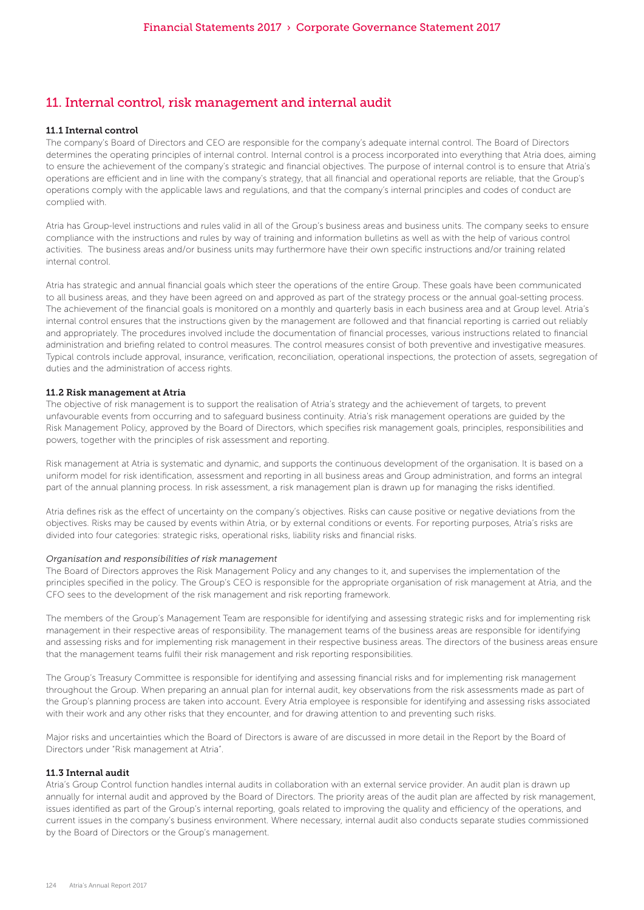# 11. Internal control, risk management and internal audit

#### 11.1 Internal control

The company's Board of Directors and CEO are responsible for the company's adequate internal control. The Board of Directors determines the operating principles of internal control. Internal control is a process incorporated into everything that Atria does, aiming to ensure the achievement of the company's strategic and financial objectives. The purpose of internal control is to ensure that Atria's operations are efficient and in line with the company's strategy, that all financial and operational reports are reliable, that the Group's operations comply with the applicable laws and regulations, and that the company's internal principles and codes of conduct are complied with.

Atria has Group-level instructions and rules valid in all of the Group's business areas and business units. The company seeks to ensure compliance with the instructions and rules by way of training and information bulletins as well as with the help of various control activities. The business areas and/or business units may furthermore have their own specific instructions and/or training related internal control.

Atria has strategic and annual financial goals which steer the operations of the entire Group. These goals have been communicated to all business areas, and they have been agreed on and approved as part of the strategy process or the annual goal-setting process. The achievement of the financial goals is monitored on a monthly and quarterly basis in each business area and at Group level. Atria's internal control ensures that the instructions given by the management are followed and that financial reporting is carried out reliably and appropriately. The procedures involved include the documentation of financial processes, various instructions related to financial administration and briefing related to control measures. The control measures consist of both preventive and investigative measures. Typical controls include approval, insurance, verification, reconciliation, operational inspections, the protection of assets, segregation of duties and the administration of access rights.

#### 11.2 Risk management at Atria

The objective of risk management is to support the realisation of Atria's strategy and the achievement of targets, to prevent unfavourable events from occurring and to safeguard business continuity. Atria's risk management operations are guided by the Risk Management Policy, approved by the Board of Directors, which specifies risk management goals, principles, responsibilities and powers, together with the principles of risk assessment and reporting.

Risk management at Atria is systematic and dynamic, and supports the continuous development of the organisation. It is based on a uniform model for risk identification, assessment and reporting in all business areas and Group administration, and forms an integral part of the annual planning process. In risk assessment, a risk management plan is drawn up for managing the risks identified.

Atria defines risk as the effect of uncertainty on the company's objectives. Risks can cause positive or negative deviations from the objectives. Risks may be caused by events within Atria, or by external conditions or events. For reporting purposes, Atria's risks are divided into four categories: strategic risks, operational risks, liability risks and financial risks.

#### *Organisation and responsibilities of risk management*

The Board of Directors approves the Risk Management Policy and any changes to it, and supervises the implementation of the principles specified in the policy. The Group's CEO is responsible for the appropriate organisation of risk management at Atria, and the CFO sees to the development of the risk management and risk reporting framework.

The members of the Group's Management Team are responsible for identifying and assessing strategic risks and for implementing risk management in their respective areas of responsibility. The management teams of the business areas are responsible for identifying and assessing risks and for implementing risk management in their respective business areas. The directors of the business areas ensure that the management teams fulfil their risk management and risk reporting responsibilities.

The Group's Treasury Committee is responsible for identifying and assessing financial risks and for implementing risk management throughout the Group. When preparing an annual plan for internal audit, key observations from the risk assessments made as part of the Group's planning process are taken into account. Every Atria employee is responsible for identifying and assessing risks associated with their work and any other risks that they encounter, and for drawing attention to and preventing such risks.

Major risks and uncertainties which the Board of Directors is aware of are discussed in more detail in the Report by the Board of Directors under "Risk management at Atria".

#### 11.3 Internal audit

Atria's Group Control function handles internal audits in collaboration with an external service provider. An audit plan is drawn up annually for internal audit and approved by the Board of Directors. The priority areas of the audit plan are affected by risk management, issues identified as part of the Group's internal reporting, goals related to improving the quality and efficiency of the operations, and current issues in the company's business environment. Where necessary, internal audit also conducts separate studies commissioned by the Board of Directors or the Group's management.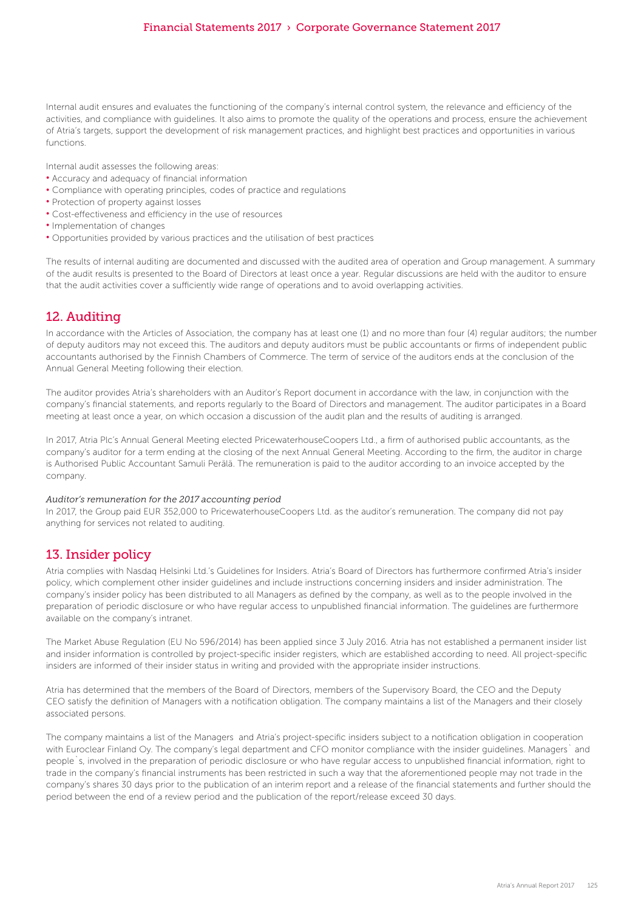Internal audit ensures and evaluates the functioning of the company's internal control system, the relevance and efficiency of the activities, and compliance with guidelines. It also aims to promote the quality of the operations and process, ensure the achievement of Atria's targets, support the development of risk management practices, and highlight best practices and opportunities in various functions.

Internal audit assesses the following areas:

- Accuracy and adequacy of financial information
- Compliance with operating principles, codes of practice and regulations
- Protection of property against losses
- Cost-effectiveness and efficiency in the use of resources
- Implementation of changes
- Opportunities provided by various practices and the utilisation of best practices

The results of internal auditing are documented and discussed with the audited area of operation and Group management. A summary of the audit results is presented to the Board of Directors at least once a year. Regular discussions are held with the auditor to ensure that the audit activities cover a sufficiently wide range of operations and to avoid overlapping activities.

# 12. Auditing

In accordance with the Articles of Association, the company has at least one (1) and no more than four (4) regular auditors; the number of deputy auditors may not exceed this. The auditors and deputy auditors must be public accountants or firms of independent public accountants authorised by the Finnish Chambers of Commerce. The term of service of the auditors ends at the conclusion of the Annual General Meeting following their election.

The auditor provides Atria's shareholders with an Auditor's Report document in accordance with the law, in conjunction with the company's financial statements, and reports regularly to the Board of Directors and management. The auditor participates in a Board meeting at least once a year, on which occasion a discussion of the audit plan and the results of auditing is arranged.

In 2017, Atria Plc's Annual General Meeting elected PricewaterhouseCoopers Ltd., a firm of authorised public accountants, as the company's auditor for a term ending at the closing of the next Annual General Meeting. According to the firm, the auditor in charge is Authorised Public Accountant Samuli Perälä. The remuneration is paid to the auditor according to an invoice accepted by the company.

#### *Auditor's remuneration for the 2017 accounting period*

In 2017, the Group paid EUR 352,000 to PricewaterhouseCoopers Ltd. as the auditor's remuneration. The company did not pay anything for services not related to auditing.

### 13. Insider policy

Atria complies with Nasdaq Helsinki Ltd.'s Guidelines for Insiders. Atria's Board of Directors has furthermore confirmed Atria's insider policy, which complement other insider guidelines and include instructions concerning insiders and insider administration. The company's insider policy has been distributed to all Managers as defined by the company, as well as to the people involved in the preparation of periodic disclosure or who have regular access to unpublished financial information. The guidelines are furthermore available on the company's intranet.

The Market Abuse Regulation (EU No 596/2014) has been applied since 3 July 2016. Atria has not established a permanent insider list and insider information is controlled by project-specific insider registers, which are established according to need. All project-specific insiders are informed of their insider status in writing and provided with the appropriate insider instructions.

Atria has determined that the members of the Board of Directors, members of the Supervisory Board, the CEO and the Deputy CEO satisfy the definition of Managers with a notification obligation. The company maintains a list of the Managers and their closely associated persons.

The company maintains a list of the Managers and Atria's project-specific insiders subject to a notification obligation in cooperation with Euroclear Finland Oy. The company's legal department and CFO monitor compliance with the insider guidelines. Managers` and people`s, involved in the preparation of periodic disclosure or who have regular access to unpublished financial information, right to trade in the company's financial instruments has been restricted in such a way that the aforementioned people may not trade in the company's shares 30 days prior to the publication of an interim report and a release of the financial statements and further should the period between the end of a review period and the publication of the report/release exceed 30 days.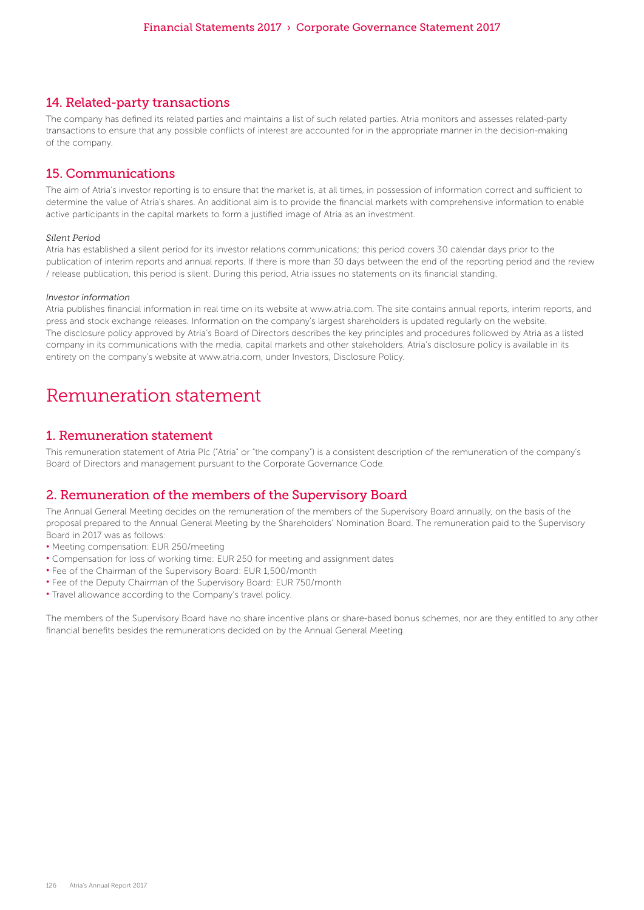### 14. Related-party transactions

The company has defined its related parties and maintains a list of such related parties. Atria monitors and assesses related-party transactions to ensure that any possible conflicts of interest are accounted for in the appropriate manner in the decision-making of the company.

# 15. Communications

The aim of Atria's investor reporting is to ensure that the market is, at all times, in possession of information correct and sufficient to determine the value of Atria's shares. An additional aim is to provide the financial markets with comprehensive information to enable active participants in the capital markets to form a justified image of Atria as an investment.

### *Silent Period*

Atria has established a silent period for its investor relations communications; this period covers 30 calendar days prior to the publication of interim reports and annual reports. If there is more than 30 days between the end of the reporting period and the review / release publication, this period is silent. During this period, Atria issues no statements on its financial standing.

#### *Investor information*

Atria publishes financial information in real time on its website at www.atria.com. The site contains annual reports, interim reports, and press and stock exchange releases. Information on the company's largest shareholders is updated regularly on the website. The disclosure policy approved by Atria's Board of Directors describes the key principles and procedures followed by Atria as a listed company in its communications with the media, capital markets and other stakeholders. Atria's disclosure policy is available in its entirety on the company's website at www.atria.com, under Investors, Disclosure Policy.

# Remuneration statement

### 1. Remuneration statement

This remuneration statement of Atria Plc ("Atria" or "the company") is a consistent description of the remuneration of the company's Board of Directors and management pursuant to the Corporate Governance Code.

# 2. Remuneration of the members of the Supervisory Board

The Annual General Meeting decides on the remuneration of the members of the Supervisory Board annually, on the basis of the proposal prepared to the Annual General Meeting by the Shareholders' Nomination Board. The remuneration paid to the Supervisory Board in 2017 was as follows:

- Meeting compensation: EUR 250/meeting
- Compensation for loss of working time: EUR 250 for meeting and assignment dates
- Fee of the Chairman of the Supervisory Board: EUR 1,500/month
- Fee of the Deputy Chairman of the Supervisory Board: EUR 750/month
- Travel allowance according to the Company's travel policy.

The members of the Supervisory Board have no share incentive plans or share-based bonus schemes, nor are they entitled to any other financial benefits besides the remunerations decided on by the Annual General Meeting.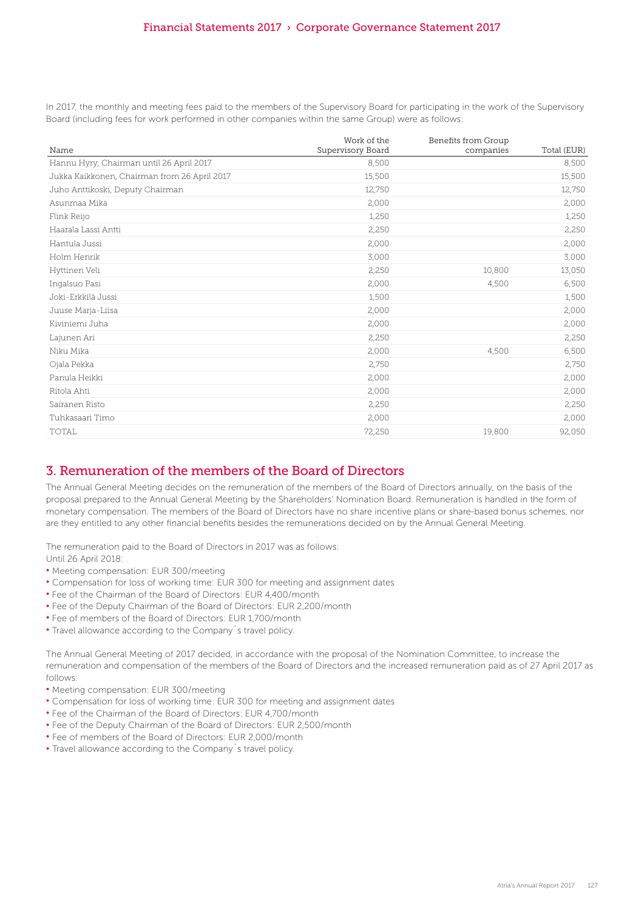In 2017, the monthly and meeting fees paid to the members of the Supervisory Board for participating in the work of the Supervisory Board (including fees for work performed in other companies within the same Group) were as follows:

| Name                                         | Work of the<br>Supervisory Board | Benefits from Group<br>companies | Total (EUR) |
|----------------------------------------------|----------------------------------|----------------------------------|-------------|
| Hannu Hyry, Chairman until 26 April 2017     | 8,500                            |                                  | 8,500       |
| Jukka Kaikkonen, Chairman from 26 April 2017 | 15,500                           |                                  | 15,500      |
| Juho Anttikoski, Deputy Chairman             | 12,750                           |                                  | 12,750      |
| Asunmaa Mika                                 | 2,000                            |                                  | 2,000       |
| Flink Reijo                                  | 1,250                            |                                  | 1,250       |
| Haarala Lassi Antti                          | 2,250                            |                                  | 2,250       |
| Hantula Jussi                                | 2,000                            |                                  | 2,000       |
| Holm Henrik                                  | 3,000                            |                                  | 3,000       |
| Hyttinen Veli                                | 2,250                            | 10,800                           | 13,050      |
| Ingalsuo Pasi                                | 2,000                            | 4,500                            | 6,500       |
| Joki-Erkkilä Jussi                           | 1,500                            |                                  | 1,500       |
| Juuse Marja-Liisa                            | 2,000                            |                                  | 2,000       |
| Kiviniemi Juha                               | 2,000                            |                                  | 2,000       |
| Lajunen Ari                                  | 2,250                            |                                  | 2,250       |
| Niku Mika                                    | 2,000                            | 4,500                            | 6,500       |
| Ojala Pekka                                  | 2,750                            |                                  | 2,750       |
| Panula Heikki                                | 2,000                            |                                  | 2,000       |
| Ritola Ahti                                  | 2,000                            |                                  | 2,000       |
| Sairanen Risto                               | 2,250                            |                                  | 2,250       |
| Tuhkasaari Timo                              | 2,000                            |                                  | 2,000       |
| <b>TOTAL</b>                                 | 72,250                           | 19,800                           | 92,050      |

# 3. Remuneration of the members of the Board of Directors

The Annual General Meeting decides on the remuneration of the members of the Board of Directors annually, on the basis of the proposal prepared to the Annual General Meeting by the Shareholders' Nomination Board. Remuneration is handled in the form of monetary compensation. The members of the Board of Directors have no share incentive plans or share-based bonus schemes, nor are they entitled to any other financial benefits besides the remunerations decided on by the Annual General Meeting.

The remuneration paid to the Board of Directors in 2017 was as follows:

Until 26 April 2018:

- Meeting compensation: EUR 300/meeting
- Compensation for loss of working time: EUR 300 for meeting and assignment dates
- Fee of the Chairman of the Board of Directors: EUR 4,400/month
- Fee of the Deputy Chairman of the Board of Directors: EUR 2,200/month
- Fee of members of the Board of Directors: EUR 1,700/month
- Travel allowance according to the Company`s travel policy.

The Annual General Meeting of 2017 decided, in accordance with the proposal of the Nomination Committee, to increase the remuneration and compensation of the members of the Board of Directors and the increased remuneration paid as of 27 April 2017 as follows:

- Meeting compensation: EUR 300/meeting
- Compensation for loss of working time: EUR 300 for meeting and assignment dates
- Fee of the Chairman of the Board of Directors: EUR 4,700/month
- Fee of the Deputy Chairman of the Board of Directors: EUR 2,500/month
- Fee of members of the Board of Directors: EUR 2,000/month
- Travel allowance according to the Company`s travel policy.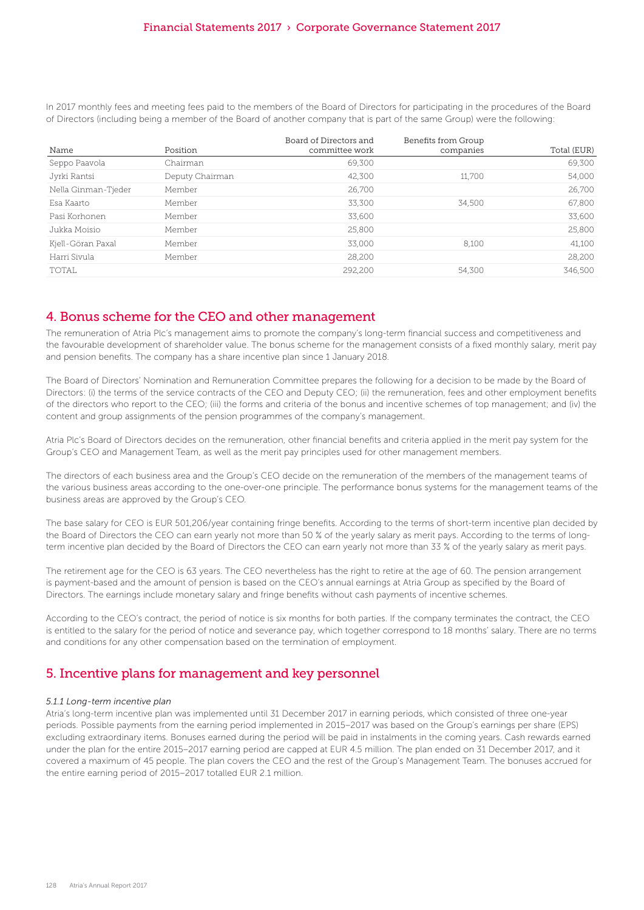In 2017 monthly fees and meeting fees paid to the members of the Board of Directors for participating in the procedures of the Board of Directors (including being a member of the Board of another company that is part of the same Group) were the following:

| Name                | Position        | Board of Directors and<br>committee work | Benefits from Group<br>companies | Total (EUR) |
|---------------------|-----------------|------------------------------------------|----------------------------------|-------------|
| Seppo Paavola       | Chairman        | 69,300                                   |                                  | 69,300      |
| Jyrki Rantsi        | Deputy Chairman | 42.300                                   | 11,700                           | 54,000      |
| Nella Ginman-Tjeder | Member          | 26.700                                   |                                  | 26,700      |
| Esa Kaarto          | Member          | 33.300                                   | 34.500                           | 67,800      |
| Pasi Korhonen       | Member          | 33.600                                   |                                  | 33,600      |
| Jukka Moisio        | Member          | 25,800                                   |                                  | 25,800      |
| Kjell-Göran Paxal   | Member          | 33,000                                   | 8.100                            | 41,100      |
| Harri Sivula        | Member          | 28,200                                   |                                  | 28,200      |
| TOTAL               |                 | 292,200                                  | 54.300                           | 346,500     |

# 4. Bonus scheme for the CEO and other management

The remuneration of Atria Plc's management aims to promote the company's long-term financial success and competitiveness and the favourable development of shareholder value. The bonus scheme for the management consists of a fixed monthly salary, merit pay and pension benefits. The company has a share incentive plan since 1 January 2018.

The Board of Directors' Nomination and Remuneration Committee prepares the following for a decision to be made by the Board of Directors: (i) the terms of the service contracts of the CEO and Deputy CEO; (ii) the remuneration, fees and other employment benefits of the directors who report to the CEO; (iii) the forms and criteria of the bonus and incentive schemes of top management; and (iv) the content and group assignments of the pension programmes of the company's management.

Atria Plc's Board of Directors decides on the remuneration, other financial benefits and criteria applied in the merit pay system for the Group's CEO and Management Team, as well as the merit pay principles used for other management members.

The directors of each business area and the Group's CEO decide on the remuneration of the members of the management teams of the various business areas according to the one-over-one principle. The performance bonus systems for the management teams of the business areas are approved by the Group's CEO.

The base salary for CEO is EUR 501,206/year containing fringe benefits. According to the terms of short-term incentive plan decided by the Board of Directors the CEO can earn yearly not more than 50 % of the yearly salary as merit pays. According to the terms of longterm incentive plan decided by the Board of Directors the CEO can earn yearly not more than 33 % of the yearly salary as merit pays.

The retirement age for the CEO is 63 years. The CEO nevertheless has the right to retire at the age of 60. The pension arrangement is payment-based and the amount of pension is based on the CEO's annual earnings at Atria Group as specified by the Board of Directors. The earnings include monetary salary and fringe benefits without cash payments of incentive schemes.

According to the CEO's contract, the period of notice is six months for both parties. If the company terminates the contract, the CEO is entitled to the salary for the period of notice and severance pay, which together correspond to 18 months' salary. There are no terms and conditions for any other compensation based on the termination of employment.

# 5. Incentive plans for management and key personnel

#### *5.1.1 Long-term incentive plan*

Atria's long-term incentive plan was implemented until 31 December 2017 in earning periods, which consisted of three one-year periods. Possible payments from the earning period implemented in 2015–2017 was based on the Group's earnings per share (EPS) excluding extraordinary items. Bonuses earned during the period will be paid in instalments in the coming years. Cash rewards earned under the plan for the entire 2015–2017 earning period are capped at EUR 4.5 million. The plan ended on 31 December 2017, and it covered a maximum of 45 people. The plan covers the CEO and the rest of the Group's Management Team. The bonuses accrued for the entire earning period of 2015–2017 totalled EUR 2.1 million.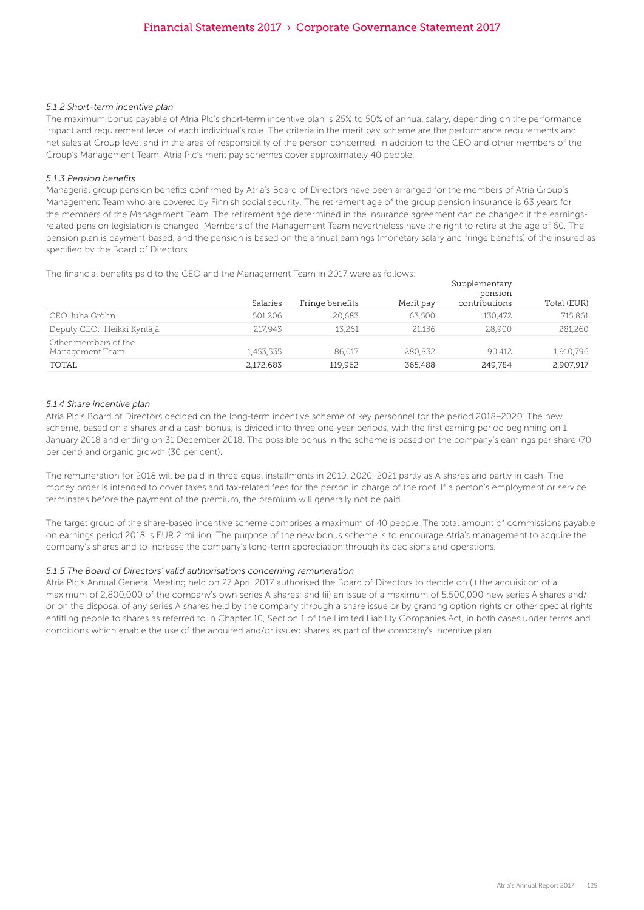#### *5.1.2 Short-term incentive plan*

The maximum bonus payable of Atria Plc's short-term incentive plan is 25% to 50% of annual salary, depending on the performance impact and requirement level of each individual's role. The criteria in the merit pay scheme are the performance requirements and net sales at Group level and in the area of responsibility of the person concerned. In addition to the CEO and other members of the Group's Management Team, Atria Plc's merit pay schemes cover approximately 40 people.

#### *5.1.3 Pension benefits*

Managerial group pension benefits confirmed by Atria's Board of Directors have been arranged for the members of Atria Group's Management Team who are covered by Finnish social security. The retirement age of the group pension insurance is 63 years for the members of the Management Team. The retirement age determined in the insurance agreement can be changed if the earningsrelated pension legislation is changed. Members of the Management Team nevertheless have the right to retire at the age of 60. The pension plan is payment-based, and the pension is based on the annual earnings (monetary salary and fringe benefits) of the insured as specified by the Board of Directors.

Supplementary

The financial benefits paid to the CEO and the Management Team in 2017 were as follows:

|                                         |           |                 |           | <i>JUPPICILICITION</i><br>pension |             |
|-----------------------------------------|-----------|-----------------|-----------|-----------------------------------|-------------|
|                                         | Salaries  | Fringe benefits | Merit pay | contributions                     | Total (EUR) |
| CEO Juha Gröhn                          | 501.206   | 20.683          | 63,500    | 130.472                           | 715.861     |
| Deputy CEO: Heikki Kyntäjä              | 217.943   | 13.261          | 21.156    | 28,900                            | 281,260     |
| Other members of the<br>Management Team | 1,453,535 | 86.017          | 280.832   | 90.412                            | 1,910,796   |
| TOTAL                                   | 2,172,683 | 119.962         | 365,488   | 249.784                           | 2.907.917   |

#### *5.1.4 Share incentive plan*

Atria Plc's Board of Directors decided on the long-term incentive scheme of key personnel for the period 2018–2020. The new scheme, based on a shares and a cash bonus, is divided into three one-year periods, with the first earning period beginning on 1 January 2018 and ending on 31 December 2018. The possible bonus in the scheme is based on the company's earnings per share (70 per cent) and organic growth (30 per cent).

The remuneration for 2018 will be paid in three equal installments in 2019, 2020, 2021 partly as A shares and partly in cash. The money order is intended to cover taxes and tax-related fees for the person in charge of the roof. If a person's employment or service terminates before the payment of the premium, the premium will generally not be paid.

The target group of the share-based incentive scheme comprises a maximum of 40 people. The total amount of commissions payable on earnings period 2018 is EUR 2 million. The purpose of the new bonus scheme is to encourage Atria's management to acquire the company's shares and to increase the company's long-term appreciation through its decisions and operations.

#### *5.1.5 The Board of Directors' valid authorisations concerning remuneration*

Atria Plc's Annual General Meeting held on 27 April 2017 authorised the Board of Directors to decide on (i) the acquisition of a maximum of 2,800,000 of the company's own series A shares; and (ii) an issue of a maximum of 5,500,000 new series A shares and/ or on the disposal of any series A shares held by the company through a share issue or by granting option rights or other special rights entitling people to shares as referred to in Chapter 10, Section 1 of the Limited Liability Companies Act, in both cases under terms and conditions which enable the use of the acquired and/or issued shares as part of the company's incentive plan.